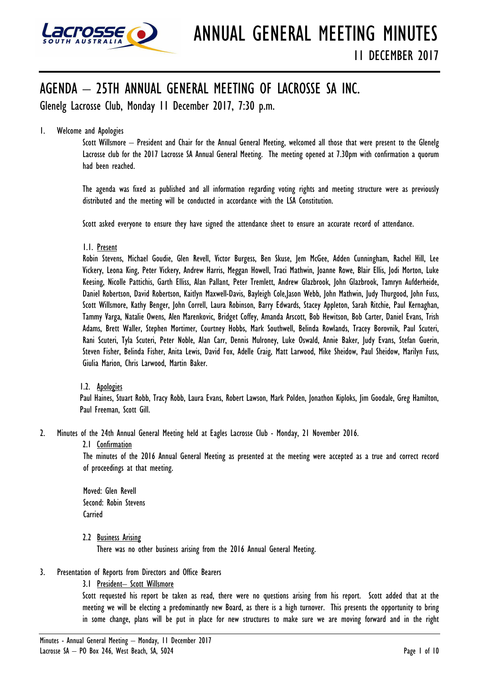

# AGENDA – 25TH ANNUAL GENERAL MEETING OF LACROSSE SA INC.

Glenelg Lacrosse Club, Monday 11 December 2017, 7:30 p.m.

# 1. Welcome and Apologies

Scott Willsmore – President and Chair for the Annual General Meeting, welcomed all those that were present to the Glenelg Lacrosse club for the 2017 Lacrosse SA Annual General Meeting. The meeting opened at 7.30pm with confirmation a quorum had been reached.

The agenda was fixed as published and all information regarding voting rights and meeting structure were as previously distributed and the meeting will be conducted in accordance with the LSA Constitution.

Scott asked everyone to ensure they have signed the attendance sheet to ensure an accurate record of attendance.

# 1.1. Present

Robin Stevens, Michael Goudie, Glen Revell, Victor Burgess, Ben Skuse, Jem McGee, Adden Cunningham, Rachel Hill, Lee Vickery, Leona King, Peter Vickery, Andrew Harris, Meggan Howell, Traci Mathwin, Joanne Rowe, Blair Ellis, Jodi Morton, Luke Keesing, Nicolle Pattichis, Garth Elliss, Alan Pallant, Peter Tremlett, Andrew Glazbrook, John Glazbrook, Tamryn Aufderheide, Daniel Robertson, David Robertson, Kaitlyn Maxwell-Davis, Bayleigh Cole,Jason Webb, John Mathwin, Judy Thurgood, John Fuss, Scott Willsmore, Kathy Benger, John Correll, Laura Robinson, Barry Edwards, Stacey Appleton, Sarah Ritchie, Paul Kernaghan, Tammy Varga, Natalie Owens, Alen Marenkovic, Bridget Coffey, Amanda Arscott, Bob Hewitson, Bob Carter, Daniel Evans, Trish Adams, Brett Waller, Stephen Mortimer, Courtney Hobbs, Mark Southwell, Belinda Rowlands, Tracey Borovnik, Paul Scuteri, Rani Scuteri, Tyla Scuteri, Peter Noble, Alan Carr, Dennis Mulroney, Luke Oswald, Annie Baker, Judy Evans, Stefan Guerin, Steven Fisher, Belinda Fisher, Anita Lewis, David Fox, Adelle Craig, Matt Larwood, Mike Sheidow, Paul Sheidow, Marilyn Fuss, Giulia Marion, Chris Larwood, Martin Baker.

# 1.2. Apologies

Paul Haines, Stuart Robb, Tracy Robb, Laura Evans, Robert Lawson, Mark Polden, Jonathon Kiploks, Jim Goodale, Greg Hamilton, Paul Freeman, Scott Gill.

- 2. Minutes of the 24th Annual General Meeting held at Eagles Lacrosse Club Monday, 21 November 2016.
	- 2.1 Confirmation

The minutes of the 2016 Annual General Meeting as presented at the meeting were accepted as a true and correct record of proceedings at that meeting.

Moved: Glen Revell Second: Robin Stevens **Carried** 

2.2 Business Arising

There was no other business arising from the 2016 Annual General Meeting.

- 3. Presentation of Reports from Directors and Office Bearers
	- 3.1 President– Scott Willsmore

Scott requested his report be taken as read, there were no questions arising from his report. Scott added that at the meeting we will be electing a predominantly new Board, as there is a high turnover. This presents the opportunity to bring in some change, plans will be put in place for new structures to make sure we are moving forward and in the right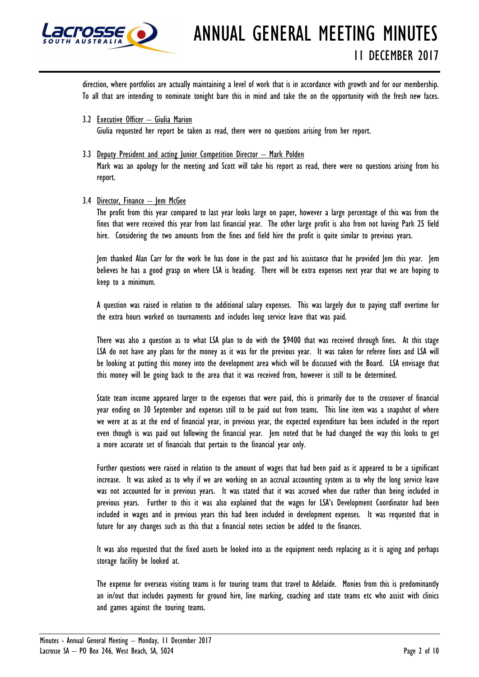

direction, where portfolios are actually maintaining a level of work that is in accordance with growth and for our membership. To all that are intending to nominate tonight bare this in mind and take the on the opportunity with the fresh new faces.

- 3.2 Executive Officer Giulia Marion Giulia requested her report be taken as read, there were no questions arising from her report.
- 3.3 Deputy President and acting Junior Competition Director Mark Polden Mark was an apology for the meeting and Scott will take his report as read, there were no questions arising from his report.
- 3.4 Director, Finance Jem McGee

The profit from this year compared to last year looks large on paper, however a large percentage of this was from the fines that were received this year from last financial year. The other large profit is also from not having Park 25 field hire. Considering the two amounts from the fines and field hire the profit is quite similar to previous years.

Jem thanked Alan Carr for the work he has done in the past and his assistance that he provided Jem this year. Jem believes he has a good grasp on where LSA is heading. There will be extra expenses next year that we are hoping to keep to a minimum.

A question was raised in relation to the additional salary expenses. This was largely due to paying staff overtime for the extra hours worked on tournaments and includes long service leave that was paid.

There was also a question as to what LSA plan to do with the \$9400 that was received through fines. At this stage LSA do not have any plans for the money as it was for the previous year. It was taken for referee fines and LSA will be looking at putting this money into the development area which will be discussed with the Board. LSA envisage that this money will be going back to the area that it was received from, however is still to be determined.

State team income appeared larger to the expenses that were paid, this is primarily due to the crossover of financial year ending on 30 September and expenses still to be paid out from teams. This line item was a snapshot of where we were at as at the end of financial year, in previous year, the expected expenditure has been included in the report even though is was paid out following the financial year. Jem noted that he had changed the way this looks to get a more accurate set of financials that pertain to the financial year only.

Further questions were raised in relation to the amount of wages that had been paid as it appeared to be a significant increase. It was asked as to why if we are working on an accrual accounting system as to why the long service leave was not accounted for in previous years. It was stated that it was accrued when due rather than being included in previous years. Further to this it was also explained that the wages for LSA's Development Coordinator had been included in wages and in previous years this had been included in development expenses. It was requested that in future for any changes such as this that a financial notes section be added to the finances.

It was also requested that the fixed assets be looked into as the equipment needs replacing as it is aging and perhaps storage facility be looked at.

The expense for overseas visiting teams is for touring teams that travel to Adelaide. Monies from this is predominantly an in/out that includes payments for ground hire, line marking, coaching and state teams etc who assist with clinics and games against the touring teams.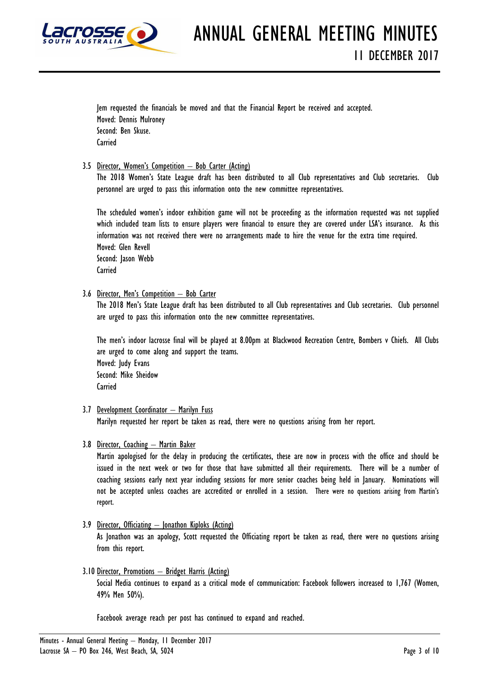

Jem requested the financials be moved and that the Financial Report be received and accepted. Moved: Dennis Mulroney Second: Ben Skuse. **Carried** 

3.5 Director, Women's Competition – Bob Carter (Acting)

The 2018 Women's State League draft has been distributed to all Club representatives and Club secretaries. Club personnel are urged to pass this information onto the new committee representatives.

The scheduled women's indoor exhibition game will not be proceeding as the information requested was not supplied which included team lists to ensure players were financial to ensure they are covered under LSA's insurance. As this information was not received there were no arrangements made to hire the venue for the extra time required. Moved: Glen Revell Second: Jason Webb Carried

3.6 Director, Men's Competition – Bob Carter

The 2018 Men's State League draft has been distributed to all Club representatives and Club secretaries. Club personnel are urged to pass this information onto the new committee representatives.

The men's indoor lacrosse final will be played at 8.00pm at Blackwood Recreation Centre, Bombers v Chiefs. All Clubs are urged to come along and support the teams. Moved: Judy Evans Second: Mike Sheidow **Carried** 

3.7 Development Coordinator – Marilyn Fuss

Marilyn requested her report be taken as read, there were no questions arising from her report.

3.8 Director, Coaching – Martin Baker

Martin apologised for the delay in producing the certificates, these are now in process with the office and should be issued in the next week or two for those that have submitted all their requirements. There will be a number of coaching sessions early next year including sessions for more senior coaches being held in January. Nominations will not be accepted unless coaches are accredited or enrolled in a session. There were no questions arising from Martin's report.

- 3.9 Director, Officiating Jonathon Kiploks (Acting) As Jonathon was an apology, Scott requested the Officiating report be taken as read, there were no questions arising from this report.
- 3.10 Director, Promotions Bridget Harris (Acting)

Social Media continues to expand as a critical mode of communication: Facebook followers increased to 1,767 (Women, 49% Men 50%).

Facebook average reach per post has continued to expand and reached.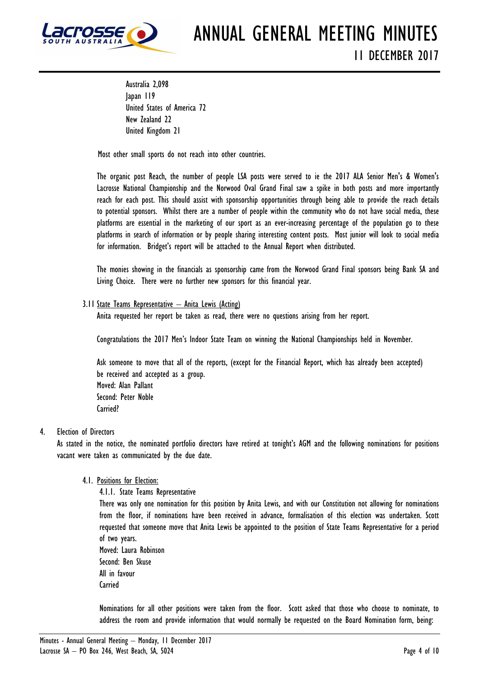

Australia 2,098 Japan 119 United States of America 72 New Zealand 22 United Kingdom 21

Most other small sports do not reach into other countries.

The organic post Reach, the number of people LSA posts were served to ie the 2017 ALA Senior Men's & Women's Lacrosse National Championship and the Norwood Oval Grand Final saw a spike in both posts and more importantly reach for each post. This should assist with sponsorship opportunities through being able to provide the reach details to potential sponsors. Whilst there are a number of people within the community who do not have social media, these platforms are essential in the marketing of our sport as an ever-increasing percentage of the population go to these platforms in search of information or by people sharing interesting content posts. Most junior will look to social media for information. Bridget's report will be attached to the Annual Report when distributed.

The monies showing in the financials as sponsorship came from the Norwood Grand Final sponsors being Bank SA and Living Choice. There were no further new sponsors for this financial year.

# 3.11 State Teams Representative – Anita Lewis (Acting)

Anita requested her report be taken as read, there were no questions arising from her report.

Congratulations the 2017 Men's Indoor State Team on winning the National Championships held in November.

Ask someone to move that all of the reports, (except for the Financial Report, which has already been accepted) be received and accepted as a group. Moved: Alan Pallant Second: Peter Noble Carried?

# 4. Election of Directors

As stated in the notice, the nominated portfolio directors have retired at tonight's AGM and the following nominations for positions vacant were taken as communicated by the due date.

# 4.1. Positions for Election:

4.1.1. State Teams Representative

There was only one nomination for this position by Anita Lewis, and with our Constitution not allowing for nominations from the floor, if nominations have been received in advance, formalisation of this election was undertaken. Scott requested that someone move that Anita Lewis be appointed to the position of State Teams Representative for a period of two years.

Moved: Laura Robinson Second: Ben Skuse All in favour **Carried** 

Nominations for all other positions were taken from the floor. Scott asked that those who choose to nominate, to address the room and provide information that would normally be requested on the Board Nomination form, being: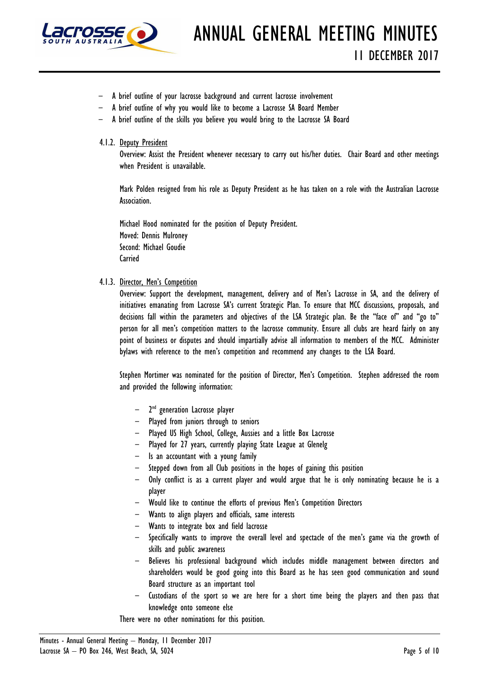

- A brief outline of your lacrosse background and current lacrosse involvement
- A brief outline of why you would like to become a Lacrosse SA Board Member
- A brief outline of the skills you believe you would bring to the Lacrosse SA Board
- 4.1.2. Deputy President

Overview: Assist the President whenever necessary to carry out his/her duties. Chair Board and other meetings when President is unavailable.

Mark Polden resigned from his role as Deputy President as he has taken on a role with the Australian Lacrosse Association.

Michael Hood nominated for the position of Deputy President. Moved: Dennis Mulroney Second: Michael Goudie **Carried** 

#### 4.1.3. Director, Men's Competition

Overview: Support the development, management, delivery and of Men's Lacrosse in SA, and the delivery of initiatives emanating from Lacrosse SA's current Strategic Plan. To ensure that MCC discussions, proposals, and decisions fall within the parameters and objectives of the LSA Strategic plan. Be the "face of" and "go to" person for all men's competition matters to the lacrosse community. Ensure all clubs are heard fairly on any point of business or disputes and should impartially advise all information to members of the MCC. Administer bylaws with reference to the men's competition and recommend any changes to the LSA Board.

Stephen Mortimer was nominated for the position of Director, Men's Competition. Stephen addressed the room and provided the following information:

- 2<sup>nd</sup> generation Lacrosse player
- Played from juniors through to seniors
- Played US High School, College, Aussies and a little Box Lacrosse
- Played for 27 years, currently playing State League at Glenelg
- Is an accountant with a young family
- Stepped down from all Club positions in the hopes of gaining this position
- Only conflict is as a current player and would argue that he is only nominating because he is a player
- Would like to continue the efforts of previous Men's Competition Directors
- Wants to align players and officials, same interests
- Wants to integrate box and field lacrosse
- Specifically wants to improve the overall level and spectacle of the men's game via the growth of skills and public awareness
- Believes his professional background which includes middle management between directors and shareholders would be good going into this Board as he has seen good communication and sound Board structure as an important tool
- Custodians of the sport so we are here for a short time being the players and then pass that knowledge onto someone else

There were no other nominations for this position.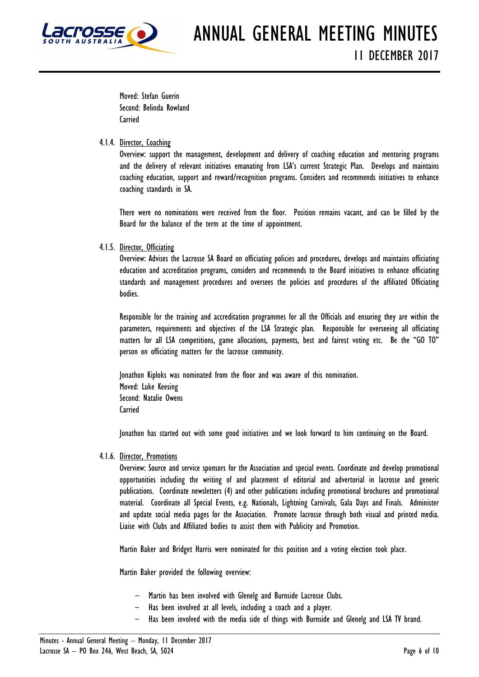

Moved: Stefan Guerin Second: Belinda Rowland **Carried** 

# 4.1.4. Director, Coaching

Overview: support the management, development and delivery of coaching education and mentoring programs and the delivery of relevant initiatives emanating from LSA's current Strategic Plan. Develops and maintains coaching education, support and reward/recognition programs. Considers and recommends initiatives to enhance coaching standards in SA.

There were no nominations were received from the floor. Position remains vacant, and can be filled by the Board for the balance of the term at the time of appointment.

# 4.1.5. Director, Officiating

Overview: Advises the Lacrosse SA Board on officiating policies and procedures, develops and maintains officiating education and accreditation programs, considers and recommends to the Board initiatives to enhance officiating standards and management procedures and oversees the policies and procedures of the affiliated Officiating bodies.

Responsible for the training and accreditation programmes for all the Officials and ensuring they are within the parameters, requirements and objectives of the LSA Strategic plan. Responsible for overseeing all officiating matters for all LSA competitions, game allocations, payments, best and fairest voting etc. Be the "GO TO" person on officiating matters for the lacrosse community.

Jonathon Kiploks was nominated from the floor and was aware of this nomination. Moved: Luke Keesing Second: Natalie Owens **Carried** 

Jonathon has started out with some good initiatives and we look forward to him continuing on the Board.

# 4.1.6. Director, Promotions

Overview: Source and service sponsors for the Association and special events. Coordinate and develop promotional opportunities including the writing of and placement of editorial and advertorial in lacrosse and generic publications. Coordinate newsletters (4) and other publications including promotional brochures and promotional material. Coordinate all Special Events, e.g. Nationals, Lightning Carnivals, Gala Days and Finals. Administer and update social media pages for the Association. Promote lacrosse through both visual and printed media. Liaise with Clubs and Affiliated bodies to assist them with Publicity and Promotion.

Martin Baker and Bridget Harris were nominated for this position and a voting election took place.

Martin Baker provided the following overview:

- Martin has been involved with Glenelg and Burnside Lacrosse Clubs.
- Has been involved at all levels, including a coach and a player.
- Has been involved with the media side of things with Burnside and Glenelg and LSA TV brand.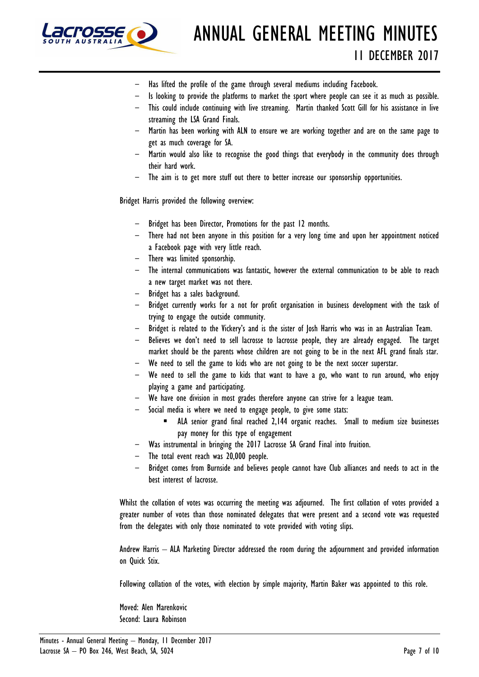

- Has lifted the profile of the game through several mediums including Facebook.
- Is looking to provide the platforms to market the sport where people can see it as much as possible.
- This could include continuing with live streaming. Martin thanked Scott Gill for his assistance in live streaming the LSA Grand Finals.
- Martin has been working with ALN to ensure we are working together and are on the same page to get as much coverage for SA.
- Martin would also like to recognise the good things that everybody in the community does through their hard work.
- The aim is to get more stuff out there to better increase our sponsorship opportunities.

Bridget Harris provided the following overview:

- Bridget has been Director, Promotions for the past 12 months.
- There had not been anyone in this position for a very long time and upon her appointment noticed a Facebook page with very little reach.
- There was limited sponsorship.
- The internal communications was fantastic, however the external communication to be able to reach a new target market was not there.
- Bridget has a sales background.
- Bridget currently works for a not for profit organisation in business development with the task of trying to engage the outside community.
- Bridget is related to the Vickery's and is the sister of Josh Harris who was in an Australian Team.
- Believes we don't need to sell lacrosse to lacrosse people, they are already engaged. The target market should be the parents whose children are not going to be in the next AFL grand finals star.
- We need to sell the game to kids who are not going to be the next soccer superstar.
- We need to sell the game to kids that want to have a go, who want to run around, who enjoy playing a game and participating.
- We have one division in most grades therefore anyone can strive for a league team.
- Social media is where we need to engage people, to give some stats:
	- ALA senior grand final reached 2,144 organic reaches. Small to medium size businesses pay money for this type of engagement
- Was instrumental in bringing the 2017 Lacrosse SA Grand Final into fruition.
- The total event reach was 20,000 people.
- Bridget comes from Burnside and believes people cannot have Club alliances and needs to act in the best interest of lacrosse.

Whilst the collation of votes was occurring the meeting was adjourned. The first collation of votes provided a greater number of votes than those nominated delegates that were present and a second vote was requested from the delegates with only those nominated to vote provided with voting slips.

Andrew Harris – ALA Marketing Director addressed the room during the adjournment and provided information on Quick Stix.

Following collation of the votes, with election by simple majority, Martin Baker was appointed to this role.

Moved: Alen Marenkovic Second: Laura Robinson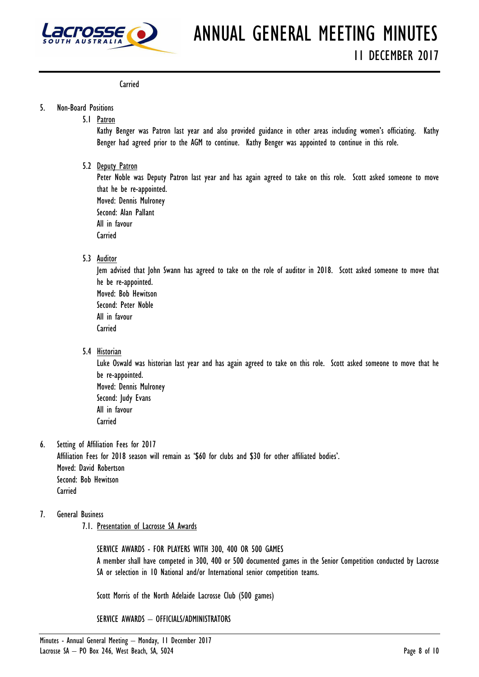

**Carried** 

#### 5. Non-Board Positions

5.1 Patron

Kathy Benger was Patron last year and also provided guidance in other areas including women's officiating. Kathy Benger had agreed prior to the AGM to continue. Kathy Benger was appointed to continue in this role.

5.2 Deputy Patron

Peter Noble was Deputy Patron last year and has again agreed to take on this role. Scott asked someone to move that he be re-appointed. Moved: Dennis Mulroney Second: Alan Pallant All in favour

**Carried** 

5.3 Auditor

Jem advised that John Swann has agreed to take on the role of auditor in 2018. Scott asked someone to move that he be re-appointed.

Moved: Bob Hewitson Second: Peter Noble All in favour

**Carried** 

5.4 Historian

Luke Oswald was historian last year and has again agreed to take on this role. Scott asked someone to move that he be re-appointed. Moved: Dennis Mulroney Second: Judy Evans

- All in favour
- **Carried**
- 6. Setting of Affiliation Fees for 2017 Affiliation Fees for 2018 season will remain as '\$60 for clubs and \$30 for other affiliated bodies'. Moved: David Robertson Second: Bob Hewitson **Carried**
- 7. General Business
	- 7.1. Presentation of Lacrosse SA Awards

SERVICE AWARDS - FOR PLAYERS WITH 300, 400 OR 500 GAMES A member shall have competed in 300, 400 or 500 documented games in the Senior Competition conducted by Lacrosse SA or selection in 10 National and/or International senior competition teams.

Scott Morris of the North Adelaide Lacrosse Club (500 games)

SERVICE AWARDS – OFFICIALS/ADMINISTRATORS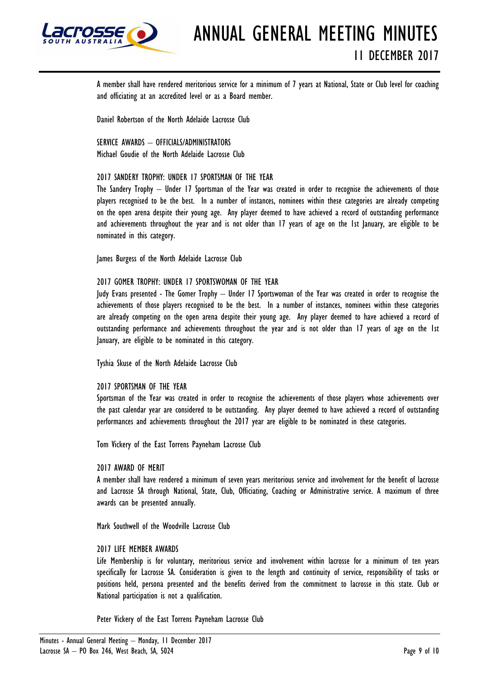

ANNUAL GENERAL MEETING MINUTES 11 DECEMBER 2017

A member shall have rendered meritorious service for a minimum of 7 years at National, State or Club level for coaching and officiating at an accredited level or as a Board member.

Daniel Robertson of the North Adelaide Lacrosse Club

SERVICE AWARDS - OFFICIALS/ADMINISTRATORS Michael Goudie of the North Adelaide Lacrosse Club

#### 2017 SANDERY TROPHY: UNDER 17 SPORTSMAN OF THE YEAR

The Sandery Trophy – Under 17 Sportsman of the Year was created in order to recognise the achievements of those players recognised to be the best. In a number of instances, nominees within these categories are already competing on the open arena despite their young age. Any player deemed to have achieved a record of outstanding performance and achievements throughout the year and is not older than 17 years of age on the 1st January, are eligible to be nominated in this category.

James Burgess of the North Adelaide Lacrosse Club

#### 2017 GOMER TROPHY: UNDER 17 SPORTSWOMAN OF THE YEAR

Judy Evans presented - The Gomer Trophy – Under 17 Sportswoman of the Year was created in order to recognise the achievements of those players recognised to be the best. In a number of instances, nominees within these categories are already competing on the open arena despite their young age. Any player deemed to have achieved a record of outstanding performance and achievements throughout the year and is not older than 17 years of age on the 1st January, are eligible to be nominated in this category.

Tyshia Skuse of the North Adelaide Lacrosse Club

#### 2017 SPORTSMAN OF THE YEAR

Sportsman of the Year was created in order to recognise the achievements of those players whose achievements over the past calendar year are considered to be outstanding. Any player deemed to have achieved a record of outstanding performances and achievements throughout the 2017 year are eligible to be nominated in these categories.

Tom Vickery of the East Torrens Payneham Lacrosse Club

#### 2017 AWARD OF MERIT

A member shall have rendered a minimum of seven years meritorious service and involvement for the benefit of lacrosse and Lacrosse SA through National, State, Club, Officiating, Coaching or Administrative service. A maximum of three awards can be presented annually.

Mark Southwell of the Woodville Lacrosse Club

#### 2017 LIFE MEMBER AWARDS

Life Membership is for voluntary, meritorious service and involvement within lacrosse for a minimum of ten years specifically for Lacrosse SA. Consideration is given to the length and continuity of service, responsibility of tasks or positions held, persona presented and the benefits derived from the commitment to lacrosse in this state. Club or National participation is not a qualification.

Peter Vickery of the East Torrens Payneham Lacrosse Club